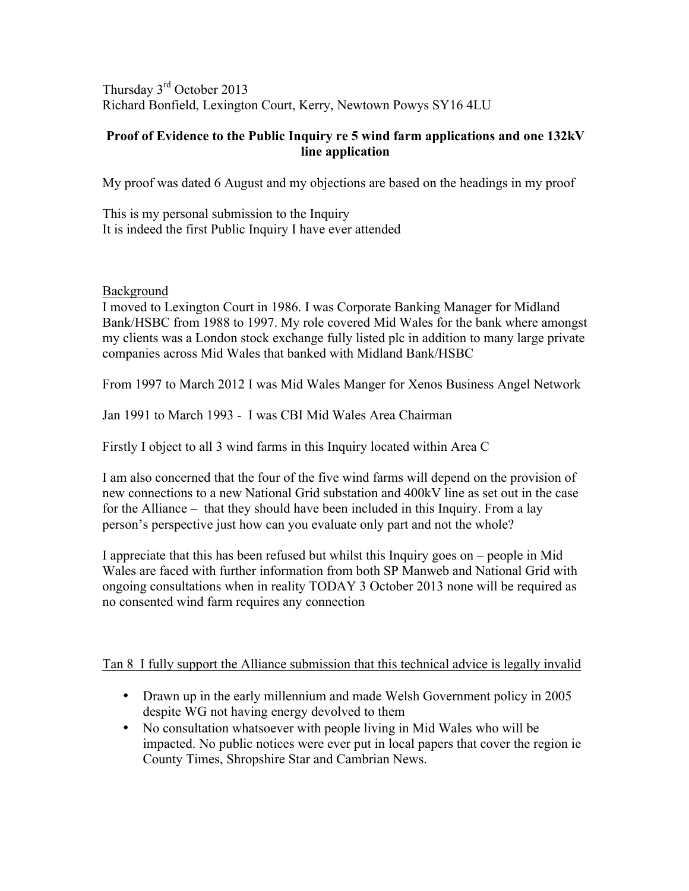Thursday 3rd October 2013 Richard Bonfield, Lexington Court, Kerry, Newtown Powys SY16 4LU

# **Proof of Evidence to the Public Inquiry re 5 wind farm applications and one 132kV line application**

My proof was dated 6 August and my objections are based on the headings in my proof

This is my personal submission to the Inquiry It is indeed the first Public Inquiry I have ever attended

## Background

I moved to Lexington Court in 1986. I was Corporate Banking Manager for Midland Bank/HSBC from 1988 to 1997. My role covered Mid Wales for the bank where amongst my clients was a London stock exchange fully listed plc in addition to many large private companies across Mid Wales that banked with Midland Bank/HSBC

From 1997 to March 2012 I was Mid Wales Manger for Xenos Business Angel Network

Jan 1991 to March 1993 - I was CBI Mid Wales Area Chairman

Firstly I object to all 3 wind farms in this Inquiry located within Area C

I am also concerned that the four of the five wind farms will depend on the provision of new connections to a new National Grid substation and 400kV line as set out in the case for the Alliance – that they should have been included in this Inquiry. From a lay person's perspective just how can you evaluate only part and not the whole?

I appreciate that this has been refused but whilst this Inquiry goes on – people in Mid Wales are faced with further information from both SP Manweb and National Grid with ongoing consultations when in reality TODAY 3 October 2013 none will be required as no consented wind farm requires any connection

# Tan 8 I fully support the Alliance submission that this technical advice is legally invalid

- Drawn up in the early millennium and made Welsh Government policy in 2005 despite WG not having energy devolved to them
- No consultation whatsoever with people living in Mid Wales who will be impacted. No public notices were ever put in local papers that cover the region ie County Times, Shropshire Star and Cambrian News.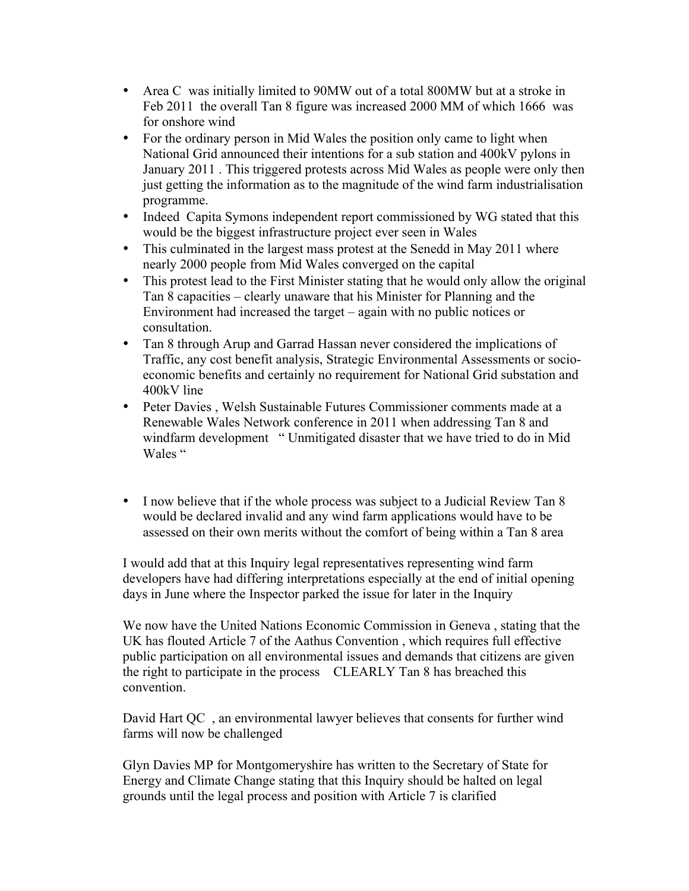- Area C was initially limited to 90 MW out of a total 800 MW but at a stroke in Feb 2011 the overall Tan 8 figure was increased 2000 MM of which 1666 was for onshore wind
- For the ordinary person in Mid Wales the position only came to light when National Grid announced their intentions for a sub station and 400kV pylons in January 2011 . This triggered protests across Mid Wales as people were only then just getting the information as to the magnitude of the wind farm industrialisation programme.
- Indeed Capita Symons independent report commissioned by WG stated that this would be the biggest infrastructure project ever seen in Wales
- This culminated in the largest mass protest at the Senedd in May 2011 where nearly 2000 people from Mid Wales converged on the capital
- This protest lead to the First Minister stating that he would only allow the original Tan 8 capacities – clearly unaware that his Minister for Planning and the Environment had increased the target – again with no public notices or consultation.
- Tan 8 through Arup and Garrad Hassan never considered the implications of Traffic, any cost benefit analysis, Strategic Environmental Assessments or socioeconomic benefits and certainly no requirement for National Grid substation and 400kV line
- Peter Davies , Welsh Sustainable Futures Commissioner comments made at a Renewable Wales Network conference in 2011 when addressing Tan 8 and windfarm development " Unmitigated disaster that we have tried to do in Mid Wales "
- I now believe that if the whole process was subject to a Judicial Review Tan 8 would be declared invalid and any wind farm applications would have to be assessed on their own merits without the comfort of being within a Tan 8 area

I would add that at this Inquiry legal representatives representing wind farm developers have had differing interpretations especially at the end of initial opening days in June where the Inspector parked the issue for later in the Inquiry

We now have the United Nations Economic Commission in Geneva , stating that the UK has flouted Article 7 of the Aathus Convention , which requires full effective public participation on all environmental issues and demands that citizens are given the right to participate in the process CLEARLY Tan 8 has breached this convention.

David Hart QC , an environmental lawyer believes that consents for further wind farms will now be challenged

Glyn Davies MP for Montgomeryshire has written to the Secretary of State for Energy and Climate Change stating that this Inquiry should be halted on legal grounds until the legal process and position with Article 7 is clarified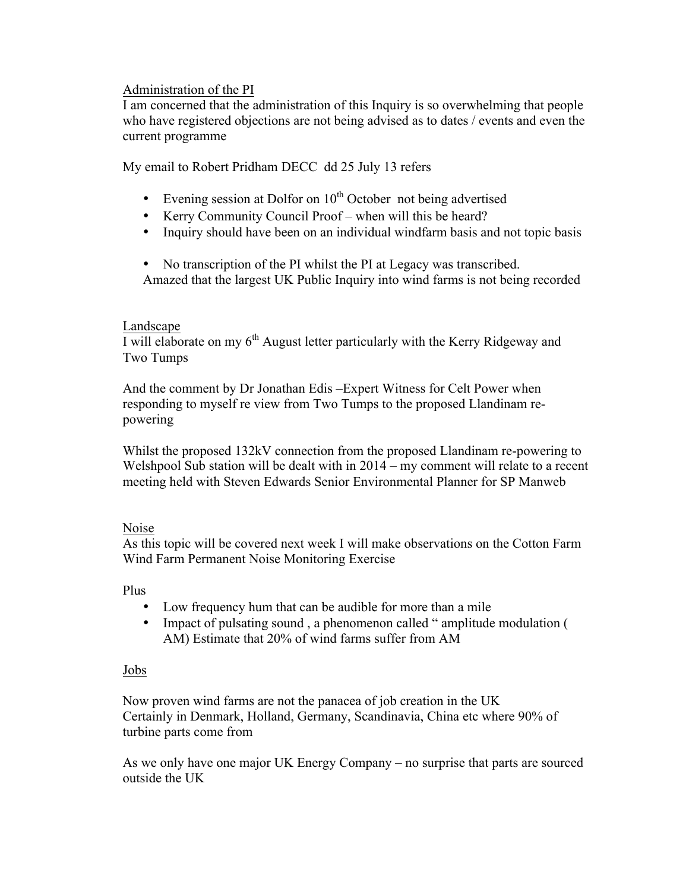## Administration of the PI

I am concerned that the administration of this Inquiry is so overwhelming that people who have registered objections are not being advised as to dates / events and even the current programme

My email to Robert Pridham DECC dd 25 July 13 refers

- Evening session at Dolfor on  $10^{th}$  October not being advertised
- Kerry Community Council Proof when will this be heard?
- Inquiry should have been on an individual windfarm basis and not topic basis
- No transcription of the PI whilst the PI at Legacy was transcribed.
- Amazed that the largest UK Public Inquiry into wind farms is not being recorded

## Landscape

I will elaborate on my  $6<sup>th</sup>$  August letter particularly with the Kerry Ridgeway and Two Tumps

And the comment by Dr Jonathan Edis –Expert Witness for Celt Power when responding to myself re view from Two Tumps to the proposed Llandinam repowering

Whilst the proposed 132kV connection from the proposed Llandinam re-powering to Welshpool Sub station will be dealt with in 2014 – my comment will relate to a recent meeting held with Steven Edwards Senior Environmental Planner for SP Manweb

#### Noise

As this topic will be covered next week I will make observations on the Cotton Farm Wind Farm Permanent Noise Monitoring Exercise

Plus

- Low frequency hum that can be audible for more than a mile
- Impact of pulsating sound, a phenomenon called "amplitude modulation ( AM) Estimate that 20% of wind farms suffer from AM

# Jobs

Now proven wind farms are not the panacea of job creation in the UK Certainly in Denmark, Holland, Germany, Scandinavia, China etc where 90% of turbine parts come from

As we only have one major UK Energy Company – no surprise that parts are sourced outside the UK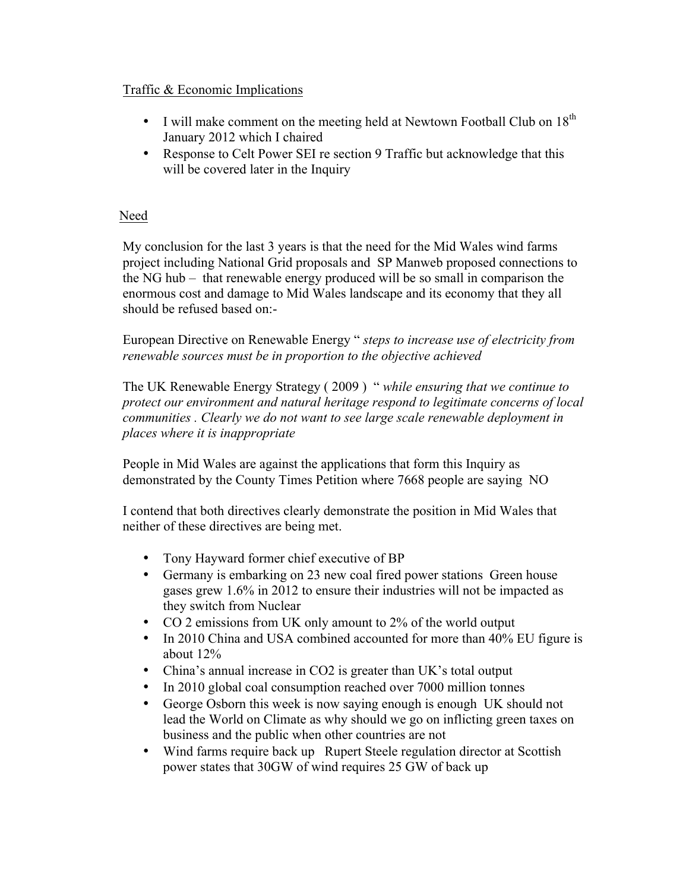# Traffic & Economic Implications

- I will make comment on the meeting held at Newtown Football Club on  $18<sup>th</sup>$ January 2012 which I chaired
- Response to Celt Power SEI re section 9 Traffic but acknowledge that this will be covered later in the Inquiry

# Need

My conclusion for the last 3 years is that the need for the Mid Wales wind farms project including National Grid proposals and SP Manweb proposed connections to the NG hub – that renewable energy produced will be so small in comparison the enormous cost and damage to Mid Wales landscape and its economy that they all should be refused based on:-

European Directive on Renewable Energy " *steps to increase use of electricity from renewable sources must be in proportion to the objective achieved*

The UK Renewable Energy Strategy ( 2009 ) " *while ensuring that we continue to protect our environment and natural heritage respond to legitimate concerns of local communities . Clearly we do not want to see large scale renewable deployment in places where it is inappropriate* 

People in Mid Wales are against the applications that form this Inquiry as demonstrated by the County Times Petition where 7668 people are saying NO

I contend that both directives clearly demonstrate the position in Mid Wales that neither of these directives are being met.

- Tony Hayward former chief executive of BP
- Germany is embarking on 23 new coal fired power stations Green house gases grew 1.6% in 2012 to ensure their industries will not be impacted as they switch from Nuclear
- CO 2 emissions from UK only amount to 2% of the world output
- In 2010 China and USA combined accounted for more than 40% EU figure is about 12%
- China's annual increase in CO2 is greater than UK's total output
- In 2010 global coal consumption reached over 7000 million tonnes
- George Osborn this week is now saying enough is enough UK should not lead the World on Climate as why should we go on inflicting green taxes on business and the public when other countries are not
- Wind farms require back up Rupert Steele regulation director at Scottish power states that 30GW of wind requires 25 GW of back up